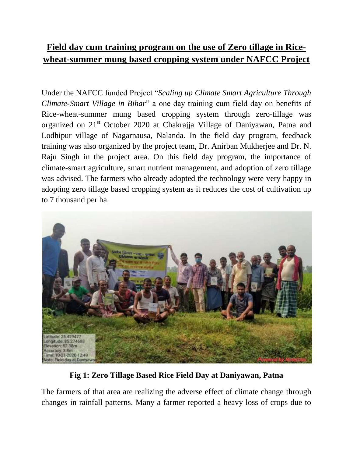## **Field day cum training program on the use of Zero tillage in Ricewheat-summer mung based cropping system under NAFCC Project**

Under the NAFCC funded Project "*Scaling up Climate Smart Agriculture Through Climate-Smart Village in Bihar*" a one day training cum field day on benefits of Rice-wheat-summer mung based cropping system through zero-tillage was organized on 21st October 2020 at Chakrajja Village of Daniyawan, Patna and Lodhipur village of Nagarnausa, Nalanda. In the field day program, feedback training was also organized by the project team, Dr. Anirban Mukherjee and Dr. N. Raju Singh in the project area. On this field day program, the importance of climate-smart agriculture, smart nutrient management, and adoption of zero tillage was advised. The farmers who already adopted the technology were very happy in adopting zero tillage based cropping system as it reduces the cost of cultivation up to 7 thousand per ha.



**Fig 1: Zero Tillage Based Rice Field Day at Daniyawan, Patna**

The farmers of that area are realizing the adverse effect of climate change through changes in rainfall patterns. Many a farmer reported a heavy loss of crops due to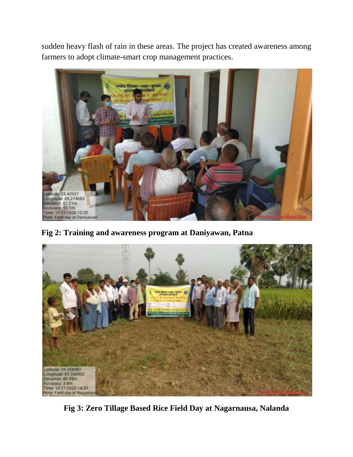sudden heavy flash of rain in these areas. The project has created awareness among farmers to adopt climate-smart crop management practices.



**Fig 2: Training and awareness program at Daniyawan, Patna**



**Fig 3: Zero Tillage Based Rice Field Day at Nagarnausa, Nalanda**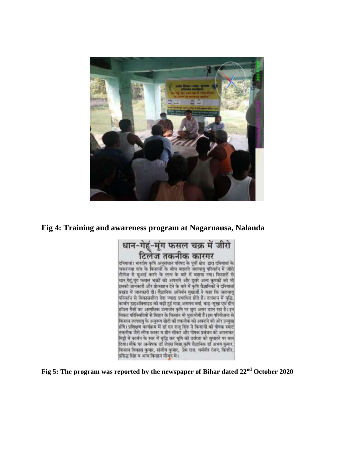

## **Fig 4: Training and awareness program at Nagarnausa, Nalanda**



**Fig 5: The program was reported by the newspaper of Bihar dated 22nd October 2020**